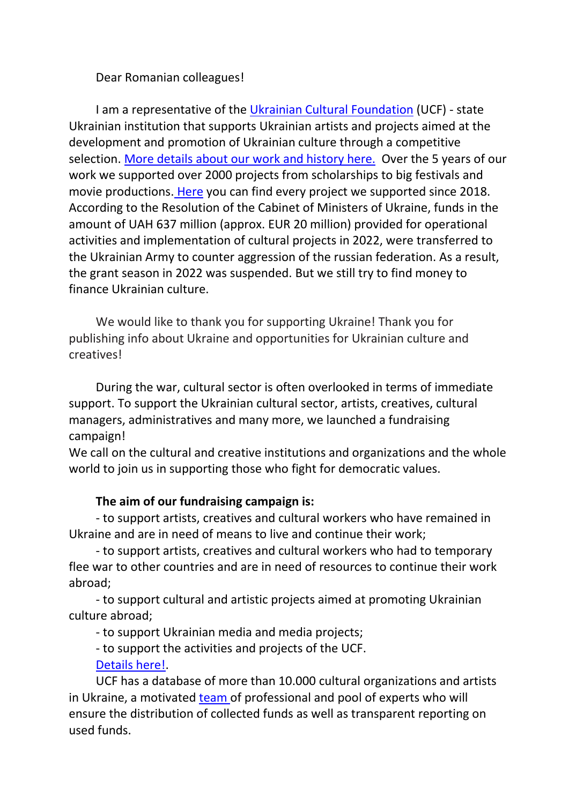## Dear Romanian colleagues!

I am a representative of the [Ukrainian Cultural Foundation](https://ucf.in.ua/en) (UCF) - state Ukrainian institution that supports Ukrainian artists and projects aimed at the development and promotion of Ukrainian culture through a competitive selection. [More details about our work and history here.](https://ucf.in.ua/en/p/about) Over the 5 years of our work we supported over 2000 projects from scholarships to big festivals and movie productions. [Here](https://ucf.in.ua/en/archive) you can find every project we supported since 2018. According to the Resolution of the Cabinet of Ministers of Ukraine, funds in the amount of UAH 637 million (approx. EUR 20 million) provided for operational activities and implementation of cultural projects in 2022, were transferred to the Ukrainian Army to counter aggression of the russian federation. As a result, the grant season in 2022 was suspended. But we still try to find money to finance Ukrainian culture.

We would like to thank you for supporting Ukraine! Thank you for publishing info about Ukraine and opportunities for Ukrainian culture and creatives!

During the war, cultural sector is often overlooked in terms of immediate support. To support the Ukrainian cultural sector, artists, creatives, cultural managers, administratives and many more, we launched a fundraising campaign!

We call on the cultural and creative institutions and organizations and the whole world to join us in supporting those who fight for democratic values.

## **The aim of our fundraising campaign is:**

- to support artists, creatives and cultural workers who have remained in Ukraine and are in need of means to live and continue their work;

- to support artists, creatives and cultural workers who had to temporary flee war to other countries and are in need of resources to continue their work abroad;

- to support cultural and artistic projects aimed at promoting Ukrainian culture abroad;

- to support Ukrainian media and media projects;

- to support the activities and projects of the UCF. [Details here!.](https://ucf.in.ua/en/p/donate)

UCF has a database of more than 10.000 cultural organizations and artists in Ukraine, a motivated [team o](https://ucf.in.ua/en/fund-team)f professional and pool of experts who will ensure the distribution of collected funds as well as transparent reporting on used funds.